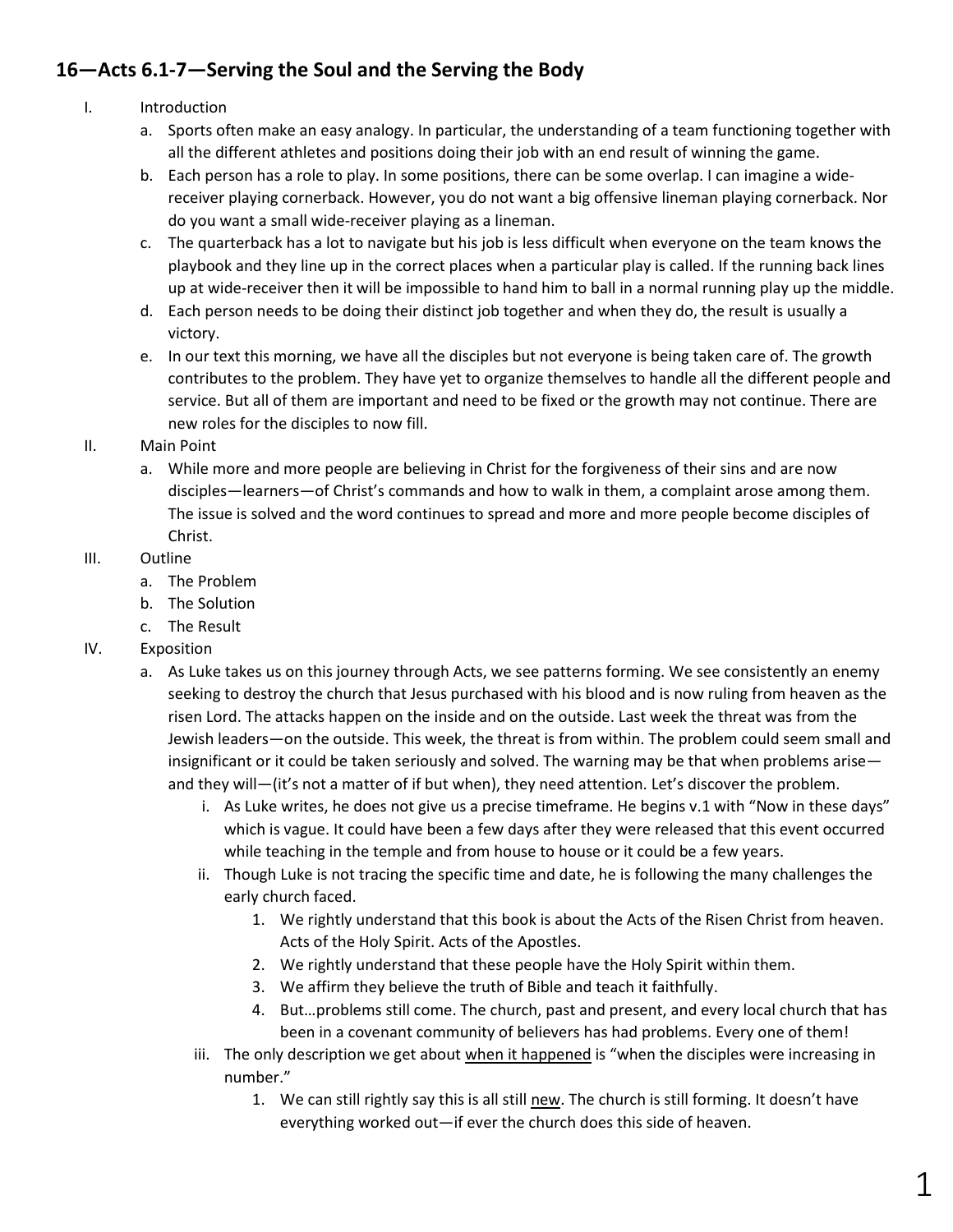## **16—Acts 6.1-7—Serving the Soul and the Serving the Body**

- I. Introduction
	- a. Sports often make an easy analogy. In particular, the understanding of a team functioning together with all the different athletes and positions doing their job with an end result of winning the game.
	- b. Each person has a role to play. In some positions, there can be some overlap. I can imagine a widereceiver playing cornerback. However, you do not want a big offensive lineman playing cornerback. Nor do you want a small wide-receiver playing as a lineman.
	- c. The quarterback has a lot to navigate but his job is less difficult when everyone on the team knows the playbook and they line up in the correct places when a particular play is called. If the running back lines up at wide-receiver then it will be impossible to hand him to ball in a normal running play up the middle.
	- d. Each person needs to be doing their distinct job together and when they do, the result is usually a victory.
	- e. In our text this morning, we have all the disciples but not everyone is being taken care of. The growth contributes to the problem. They have yet to organize themselves to handle all the different people and service. But all of them are important and need to be fixed or the growth may not continue. There are new roles for the disciples to now fill.

## II. Main Point

a. While more and more people are believing in Christ for the forgiveness of their sins and are now disciples—learners—of Christ's commands and how to walk in them, a complaint arose among them. The issue is solved and the word continues to spread and more and more people become disciples of Christ.

## III. Outline

- a. The Problem
- b. The Solution
- c. The Result

## IV. Exposition

- a. As Luke takes us on this journey through Acts, we see patterns forming. We see consistently an enemy seeking to destroy the church that Jesus purchased with his blood and is now ruling from heaven as the risen Lord. The attacks happen on the inside and on the outside. Last week the threat was from the Jewish leaders—on the outside. This week, the threat is from within. The problem could seem small and insignificant or it could be taken seriously and solved. The warning may be that when problems arise and they will—(it's not a matter of if but when), they need attention. Let's discover the problem.
	- i. As Luke writes, he does not give us a precise timeframe. He begins v.1 with "Now in these days" which is vague. It could have been a few days after they were released that this event occurred while teaching in the temple and from house to house or it could be a few years.
	- ii. Though Luke is not tracing the specific time and date, he is following the many challenges the early church faced.
		- 1. We rightly understand that this book is about the Acts of the Risen Christ from heaven. Acts of the Holy Spirit. Acts of the Apostles.
		- 2. We rightly understand that these people have the Holy Spirit within them.
		- 3. We affirm they believe the truth of Bible and teach it faithfully.
		- 4. But…problems still come. The church, past and present, and every local church that has been in a covenant community of believers has had problems. Every one of them!
	- iii. The only description we get about when it happened is "when the disciples were increasing in number."
		- 1. We can still rightly say this is all still new. The church is still forming. It doesn't have everything worked out—if ever the church does this side of heaven.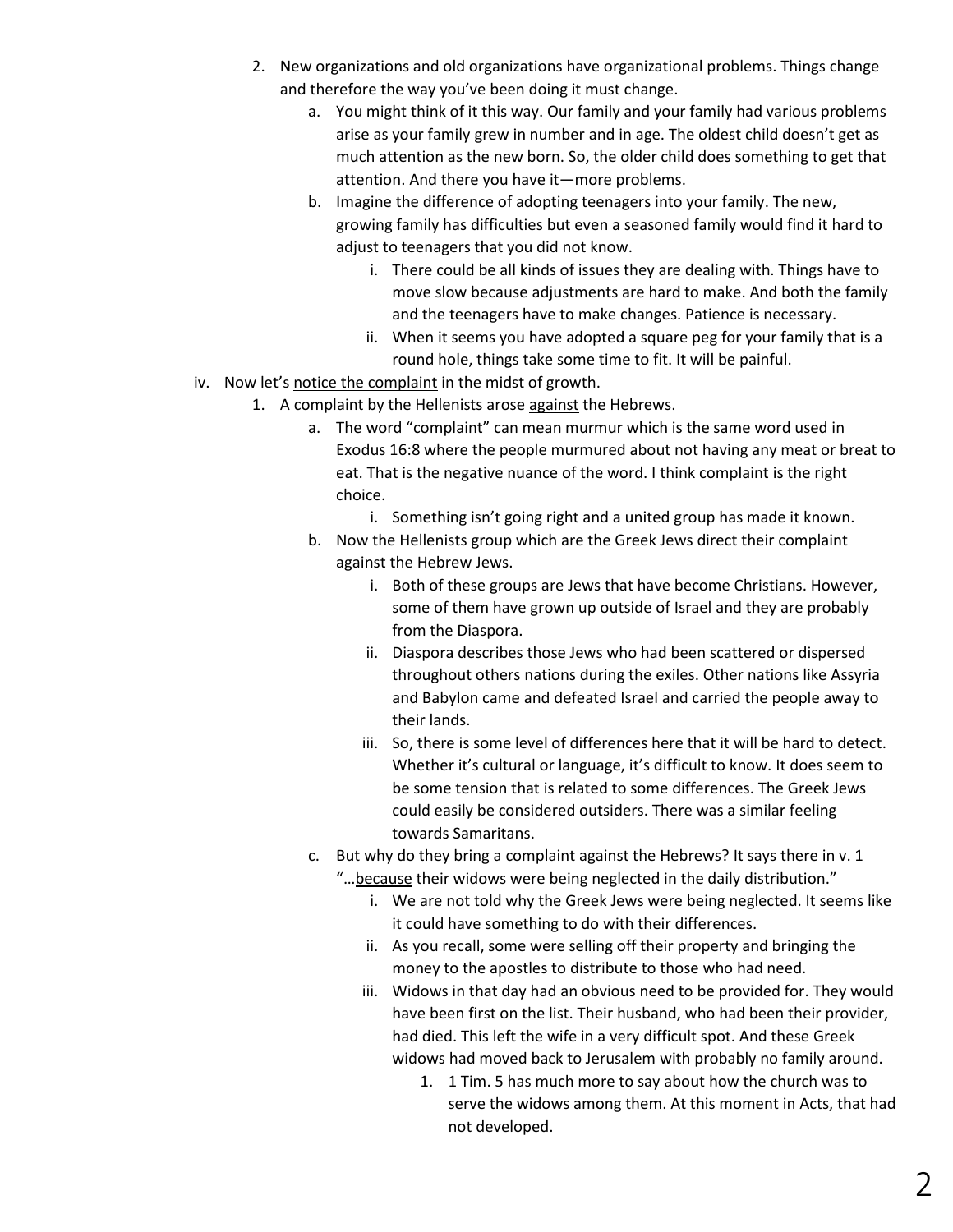- 2. New organizations and old organizations have organizational problems. Things change and therefore the way you've been doing it must change.
	- a. You might think of it this way. Our family and your family had various problems arise as your family grew in number and in age. The oldest child doesn't get as much attention as the new born. So, the older child does something to get that attention. And there you have it—more problems.
	- b. Imagine the difference of adopting teenagers into your family. The new, growing family has difficulties but even a seasoned family would find it hard to adjust to teenagers that you did not know.
		- i. There could be all kinds of issues they are dealing with. Things have to move slow because adjustments are hard to make. And both the family and the teenagers have to make changes. Patience is necessary.
		- ii. When it seems you have adopted a square peg for your family that is a round hole, things take some time to fit. It will be painful.
- iv. Now let's notice the complaint in the midst of growth.
	- 1. A complaint by the Hellenists arose against the Hebrews.
		- a. The word "complaint" can mean murmur which is the same word used in Exodus 16:8 where the people murmured about not having any meat or breat to eat. That is the negative nuance of the word. I think complaint is the right choice.
			- i. Something isn't going right and a united group has made it known.
		- b. Now the Hellenists group which are the Greek Jews direct their complaint against the Hebrew Jews.
			- i. Both of these groups are Jews that have become Christians. However, some of them have grown up outside of Israel and they are probably from the Diaspora.
			- ii. Diaspora describes those Jews who had been scattered or dispersed throughout others nations during the exiles. Other nations like Assyria and Babylon came and defeated Israel and carried the people away to their lands.
			- iii. So, there is some level of differences here that it will be hard to detect. Whether it's cultural or language, it's difficult to know. It does seem to be some tension that is related to some differences. The Greek Jews could easily be considered outsiders. There was a similar feeling towards Samaritans.
		- c. But why do they bring a complaint against the Hebrews? It says there in v. 1 "…because their widows were being neglected in the daily distribution."
			- i. We are not told why the Greek Jews were being neglected. It seems like it could have something to do with their differences.
			- ii. As you recall, some were selling off their property and bringing the money to the apostles to distribute to those who had need.
			- iii. Widows in that day had an obvious need to be provided for. They would have been first on the list. Their husband, who had been their provider, had died. This left the wife in a very difficult spot. And these Greek widows had moved back to Jerusalem with probably no family around.
				- 1. 1 Tim. 5 has much more to say about how the church was to serve the widows among them. At this moment in Acts, that had not developed.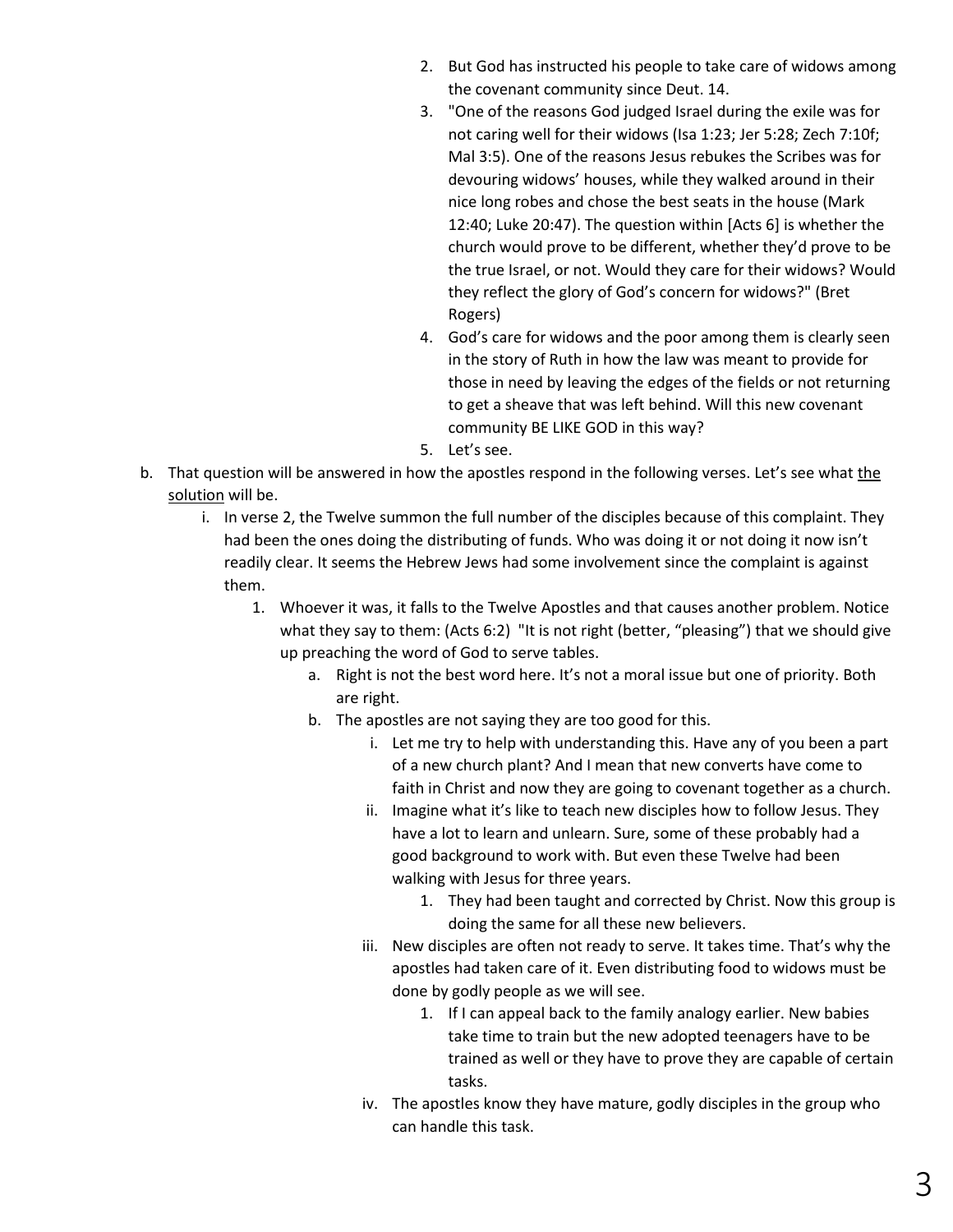- 2. But God has instructed his people to take care of widows among the covenant community since Deut. 14.
- 3. "One of the reasons God judged Israel during the exile was for not caring well for their widows (Isa 1:23; Jer 5:28; Zech 7:10f; Mal 3:5). One of the reasons Jesus rebukes the Scribes was for devouring widows' houses, while they walked around in their nice long robes and chose the best seats in the house (Mark 12:40; Luke 20:47). The question within [Acts 6] is whether the church would prove to be different, whether they'd prove to be the true Israel, or not. Would they care for their widows? Would they reflect the glory of God's concern for widows?" (Bret Rogers)
- 4. God's care for widows and the poor among them is clearly seen in the story of Ruth in how the law was meant to provide for those in need by leaving the edges of the fields or not returning to get a sheave that was left behind. Will this new covenant community BE LIKE GOD in this way?
- 5. Let's see.
- b. That question will be answered in how the apostles respond in the following verses. Let's see what the solution will be.
	- i. In verse 2, the Twelve summon the full number of the disciples because of this complaint. They had been the ones doing the distributing of funds. Who was doing it or not doing it now isn't readily clear. It seems the Hebrew Jews had some involvement since the complaint is against them.
		- 1. Whoever it was, it falls to the Twelve Apostles and that causes another problem. Notice what they say to them: (Acts 6:2) "It is not right (better, "pleasing") that we should give up preaching the word of God to serve tables.
			- a. Right is not the best word here. It's not a moral issue but one of priority. Both are right.
			- b. The apostles are not saying they are too good for this.
				- i. Let me try to help with understanding this. Have any of you been a part of a new church plant? And I mean that new converts have come to faith in Christ and now they are going to covenant together as a church.
				- ii. Imagine what it's like to teach new disciples how to follow Jesus. They have a lot to learn and unlearn. Sure, some of these probably had a good background to work with. But even these Twelve had been walking with Jesus for three years.
					- 1. They had been taught and corrected by Christ. Now this group is doing the same for all these new believers.
				- iii. New disciples are often not ready to serve. It takes time. That's why the apostles had taken care of it. Even distributing food to widows must be done by godly people as we will see.
					- 1. If I can appeal back to the family analogy earlier. New babies take time to train but the new adopted teenagers have to be trained as well or they have to prove they are capable of certain tasks.
				- iv. The apostles know they have mature, godly disciples in the group who can handle this task.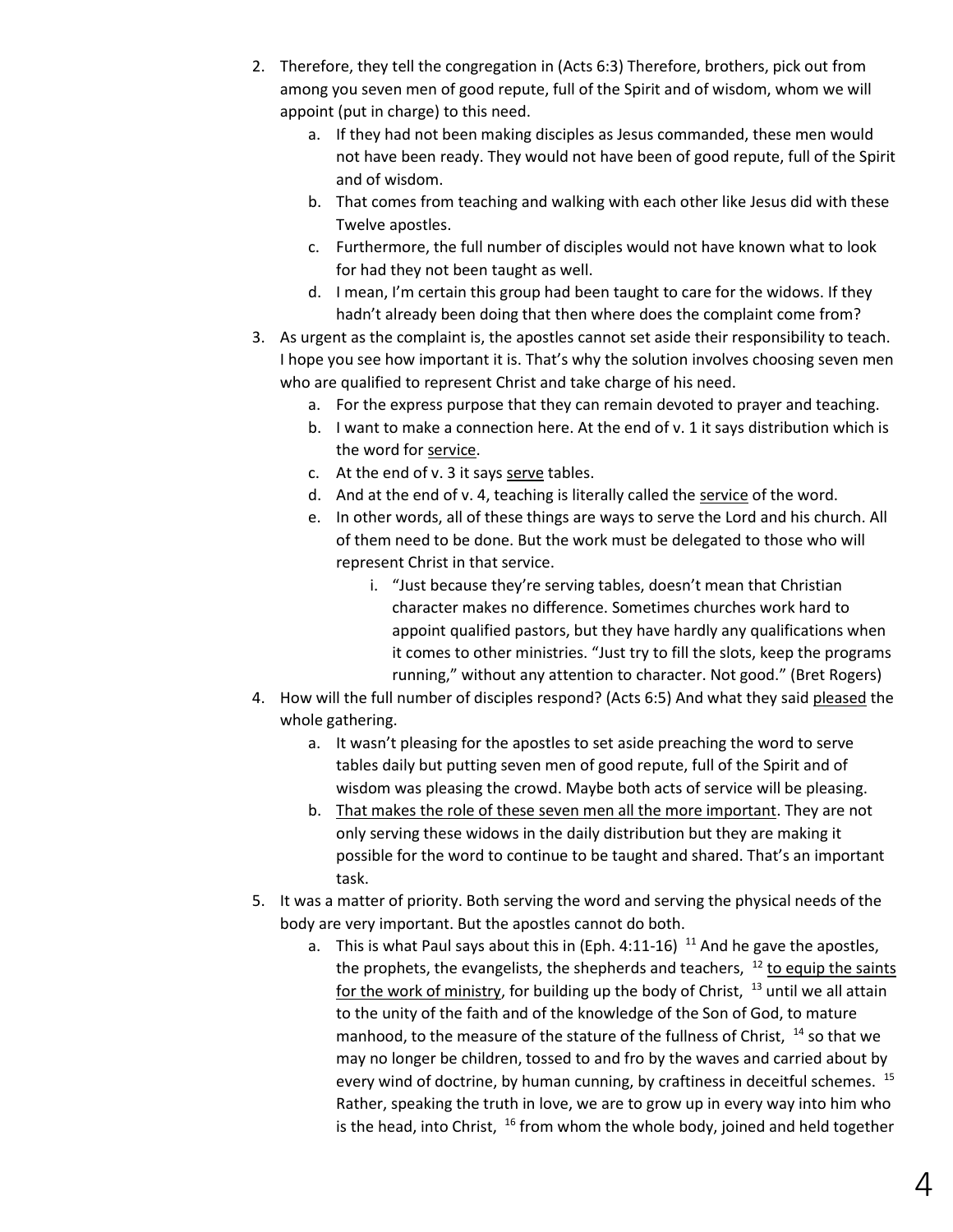- 2. Therefore, they tell the congregation in (Acts 6:3) Therefore, brothers, pick out from among you seven men of good repute, full of the Spirit and of wisdom, whom we will appoint (put in charge) to this need.
	- a. If they had not been making disciples as Jesus commanded, these men would not have been ready. They would not have been of good repute, full of the Spirit and of wisdom.
	- b. That comes from teaching and walking with each other like Jesus did with these Twelve apostles.
	- c. Furthermore, the full number of disciples would not have known what to look for had they not been taught as well.
	- d. I mean, I'm certain this group had been taught to care for the widows. If they hadn't already been doing that then where does the complaint come from?
- 3. As urgent as the complaint is, the apostles cannot set aside their responsibility to teach. I hope you see how important it is. That's why the solution involves choosing seven men who are qualified to represent Christ and take charge of his need.
	- a. For the express purpose that they can remain devoted to prayer and teaching.
	- b. I want to make a connection here. At the end of v. 1 it says distribution which is the word for service.
	- c. At the end of v. 3 it says serve tables.
	- d. And at the end of v. 4, teaching is literally called the service of the word.
	- e. In other words, all of these things are ways to serve the Lord and his church. All of them need to be done. But the work must be delegated to those who will represent Christ in that service.
		- i. "Just because they're serving tables, doesn't mean that Christian character makes no difference. Sometimes churches work hard to appoint qualified pastors, but they have hardly any qualifications when it comes to other ministries. "Just try to fill the slots, keep the programs running," without any attention to character. Not good." (Bret Rogers)
- 4. How will the full number of disciples respond? (Acts 6:5) And what they said pleased the whole gathering.
	- a. It wasn't pleasing for the apostles to set aside preaching the word to serve tables daily but putting seven men of good repute, full of the Spirit and of wisdom was pleasing the crowd. Maybe both acts of service will be pleasing.
	- b. That makes the role of these seven men all the more important. They are not only serving these widows in the daily distribution but they are making it possible for the word to continue to be taught and shared. That's an important task.
- 5. It was a matter of priority. Both serving the word and serving the physical needs of the body are very important. But the apostles cannot do both.
	- a. This is what Paul says about this in (Eph. 4:11-16)  $11$  And he gave the apostles, the prophets, the evangelists, the shepherds and teachers,  $12$  to equip the saints for the work of ministry, for building up the body of Christ,  $13$  until we all attain to the unity of the faith and of the knowledge of the Son of God, to mature manhood, to the measure of the stature of the fullness of Christ,  $14$  so that we may no longer be children, tossed to and fro by the waves and carried about by every wind of doctrine, by human cunning, by craftiness in deceitful schemes. <sup>15</sup> Rather, speaking the truth in love, we are to grow up in every way into him who is the head, into Christ,  $16$  from whom the whole body, joined and held together